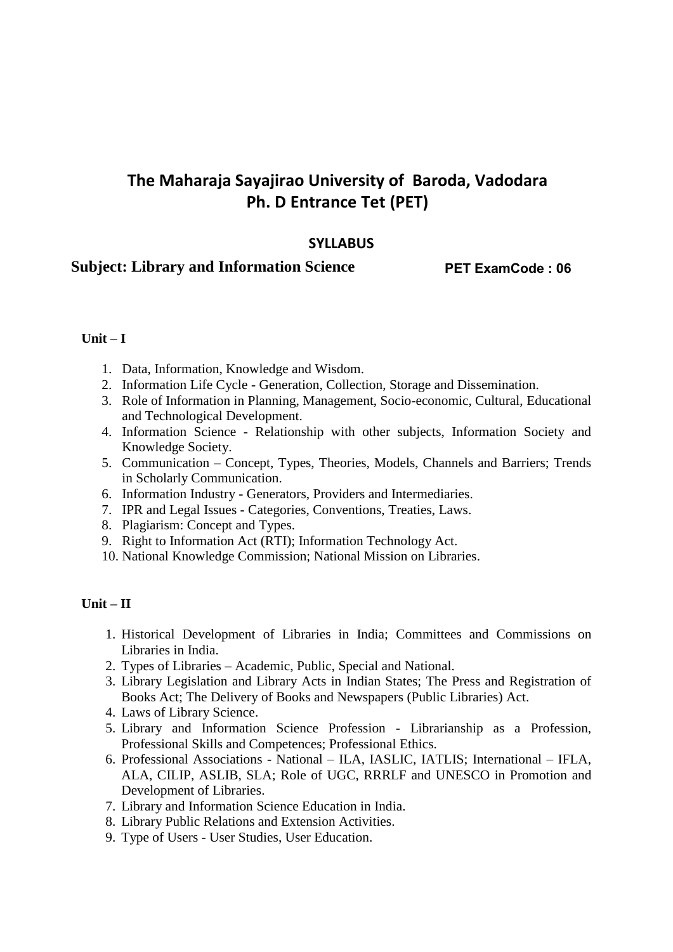# **The Maharaja Sayajirao University of Baroda, Vadodara Ph. D Entrance Tet (PET)**

# **SYLLABUS**

# **Subject: Library and Information Science**

**PET ExamCode : 06**

#### **Unit – I**

- 1. Data, Information, Knowledge and Wisdom.
- 2. Information Life Cycle Generation, Collection, Storage and Dissemination.
- 3. Role of Information in Planning, Management, Socio-economic, Cultural, Educational and Technological Development.
- 4. Information Science Relationship with other subjects, Information Society and Knowledge Society.
- 5. Communication Concept, Types, Theories, Models, Channels and Barriers; Trends in Scholarly Communication.
- 6. Information Industry Generators, Providers and Intermediaries.
- 7. IPR and Legal Issues Categories, Conventions, Treaties, Laws.
- 8. Plagiarism: Concept and Types.
- 9. Right to Information Act (RTI); Information Technology Act.
- 10. National Knowledge Commission; National Mission on Libraries.

#### **Unit – II**

- 1. Historical Development of Libraries in India; Committees and Commissions on Libraries in India.
- 2. Types of Libraries Academic, Public, Special and National.
- 3. Library Legislation and Library Acts in Indian States; The Press and Registration of Books Act; The Delivery of Books and Newspapers (Public Libraries) Act.
- 4. Laws of Library Science.
- 5. Library and Information Science Profession Librarianship as a Profession, Professional Skills and Competences; Professional Ethics.
- 6. Professional Associations National ILA, IASLIC, IATLIS; International IFLA, ALA, CILIP, ASLIB, SLA; Role of UGC, RRRLF and UNESCO in Promotion and Development of Libraries.
- 7. Library and Information Science Education in India.
- 8. Library Public Relations and Extension Activities.
- 9. Type of Users User Studies, User Education.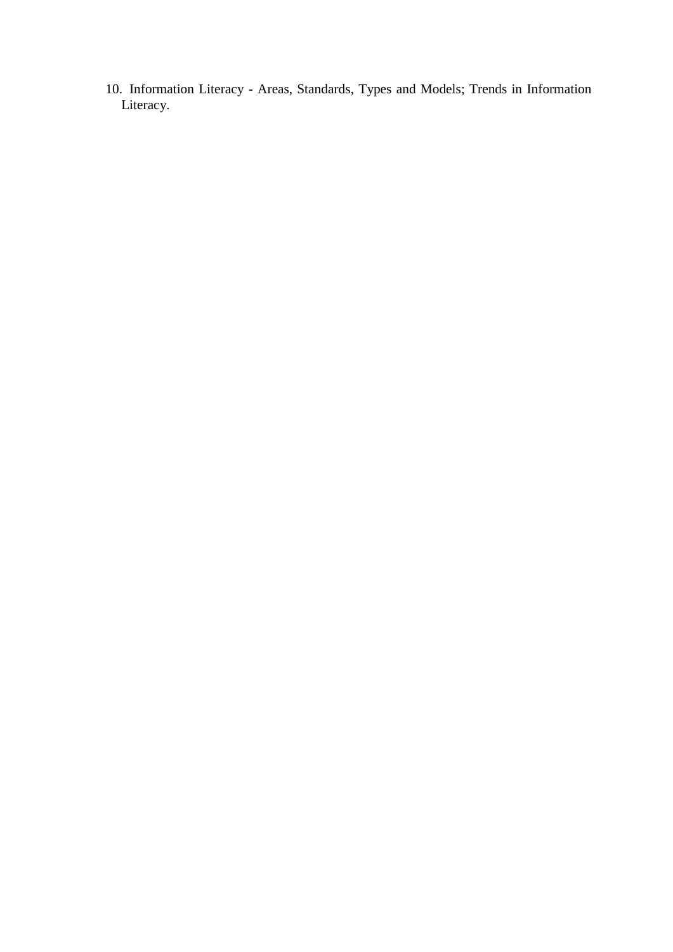10. Information Literacy - Areas, Standards, Types and Models; Trends in Information Literacy.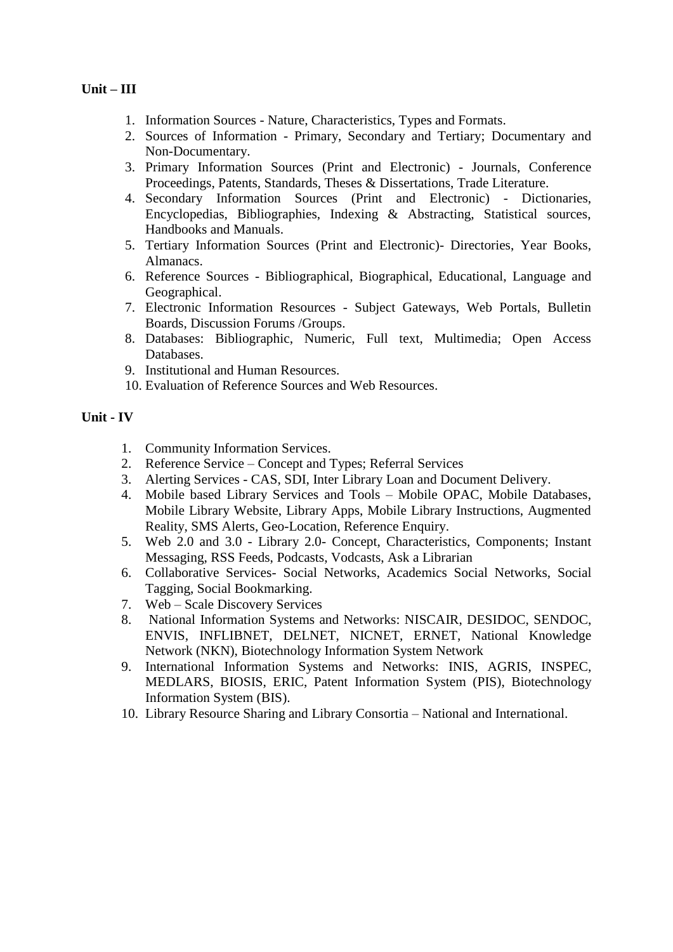## **Unit – III**

- 1. Information Sources Nature, Characteristics, Types and Formats.
- 2. Sources of Information Primary, Secondary and Tertiary; Documentary and Non-Documentary.
- 3. Primary Information Sources (Print and Electronic) Journals, Conference Proceedings, Patents, Standards, Theses & Dissertations, Trade Literature.
- 4. Secondary Information Sources (Print and Electronic) Dictionaries, Encyclopedias, Bibliographies, Indexing & Abstracting, Statistical sources, Handbooks and Manuals.
- 5. Tertiary Information Sources (Print and Electronic)- Directories, Year Books, Almanacs.
- 6. Reference Sources Bibliographical, Biographical, Educational, Language and Geographical.
- 7. Electronic Information Resources Subject Gateways, Web Portals, Bulletin Boards, Discussion Forums /Groups.
- 8. Databases: Bibliographic, Numeric, Full text, Multimedia; Open Access Databases.
- 9. Institutional and Human Resources.
- 10. Evaluation of Reference Sources and Web Resources.

#### **Unit - IV**

- 1. Community Information Services.
- 2. Reference Service Concept and Types; Referral Services
- 3. Alerting Services CAS, SDI, Inter Library Loan and Document Delivery.
- 4. Mobile based Library Services and Tools Mobile OPAC, Mobile Databases, Mobile Library Website, Library Apps, Mobile Library Instructions, Augmented Reality, SMS Alerts, Geo-Location, Reference Enquiry.
- 5. Web 2.0 and 3.0 Library 2.0- Concept, Characteristics, Components; Instant Messaging, RSS Feeds, Podcasts, Vodcasts, Ask a Librarian
- 6. Collaborative Services- Social Networks, Academics Social Networks, Social Tagging, Social Bookmarking.
- 7. Web Scale Discovery Services
- 8. National Information Systems and Networks: NISCAIR, DESIDOC, SENDOC, ENVIS, INFLIBNET, DELNET, NICNET, ERNET, National Knowledge Network (NKN), Biotechnology Information System Network
- 9. International Information Systems and Networks: INIS, AGRIS, INSPEC, MEDLARS, BIOSIS, ERIC, Patent Information System (PIS), Biotechnology Information System (BIS).
- 10. Library Resource Sharing and Library Consortia National and International.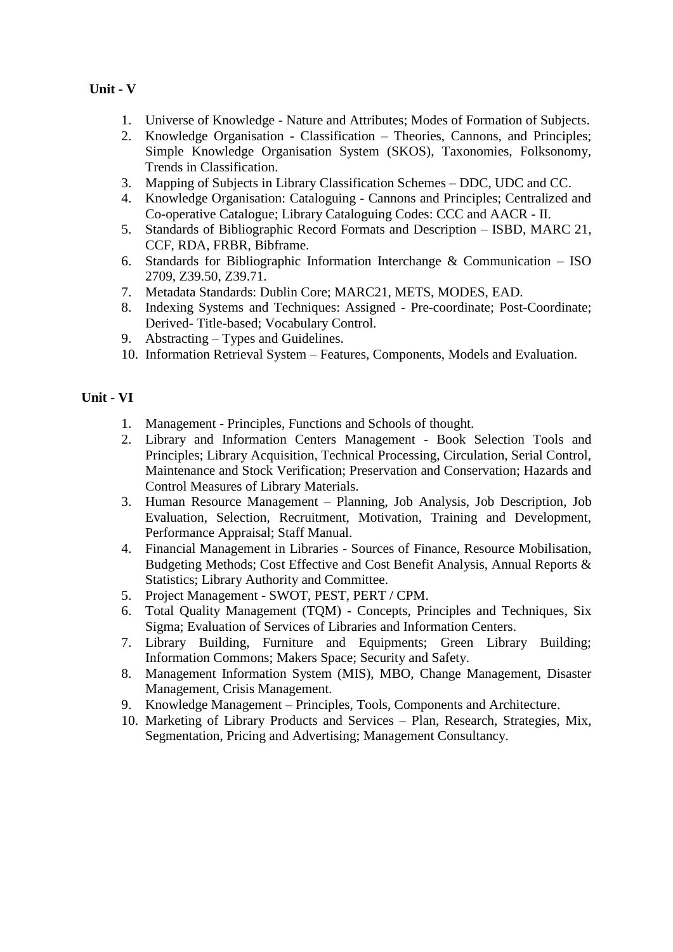# **Unit - V**

- 1. Universe of Knowledge Nature and Attributes; Modes of Formation of Subjects.
- 2. Knowledge Organisation Classification Theories, Cannons, and Principles; Simple Knowledge Organisation System (SKOS), Taxonomies, Folksonomy, Trends in Classification.
- 3. Mapping of Subjects in Library Classification Schemes DDC, UDC and CC.
- 4. Knowledge Organisation: Cataloguing Cannons and Principles; Centralized and Co-operative Catalogue; Library Cataloguing Codes: CCC and AACR - II.
- 5. Standards of Bibliographic Record Formats and Description ISBD, MARC 21, CCF, RDA, FRBR, Bibframe.
- 6. Standards for Bibliographic Information Interchange & Communication ISO 2709, Z39.50, Z39.71.
- 7. Metadata Standards: Dublin Core; MARC21, METS, MODES, EAD.
- 8. Indexing Systems and Techniques: Assigned Pre-coordinate; Post-Coordinate; Derived- Title-based; Vocabulary Control.
- 9. Abstracting Types and Guidelines.
- 10. Information Retrieval System Features, Components, Models and Evaluation.

#### **Unit - VI**

- 1. Management Principles, Functions and Schools of thought.
- 2. Library and Information Centers Management Book Selection Tools and Principles; Library Acquisition, Technical Processing, Circulation, Serial Control, Maintenance and Stock Verification; Preservation and Conservation; Hazards and Control Measures of Library Materials.
- 3. Human Resource Management Planning, Job Analysis, Job Description, Job Evaluation, Selection, Recruitment, Motivation, Training and Development, Performance Appraisal; Staff Manual.
- 4. Financial Management in Libraries Sources of Finance, Resource Mobilisation, Budgeting Methods; Cost Effective and Cost Benefit Analysis, Annual Reports & Statistics; Library Authority and Committee.
- 5. Project Management SWOT, PEST, PERT / CPM.
- 6. Total Quality Management (TQM) Concepts, Principles and Techniques, Six Sigma; Evaluation of Services of Libraries and Information Centers.
- 7. Library Building, Furniture and Equipments; Green Library Building; Information Commons; Makers Space; Security and Safety.
- 8. Management Information System (MIS), MBO, Change Management, Disaster Management, Crisis Management.
- 9. Knowledge Management Principles, Tools, Components and Architecture.
- 10. Marketing of Library Products and Services Plan, Research, Strategies, Mix, Segmentation, Pricing and Advertising; Management Consultancy.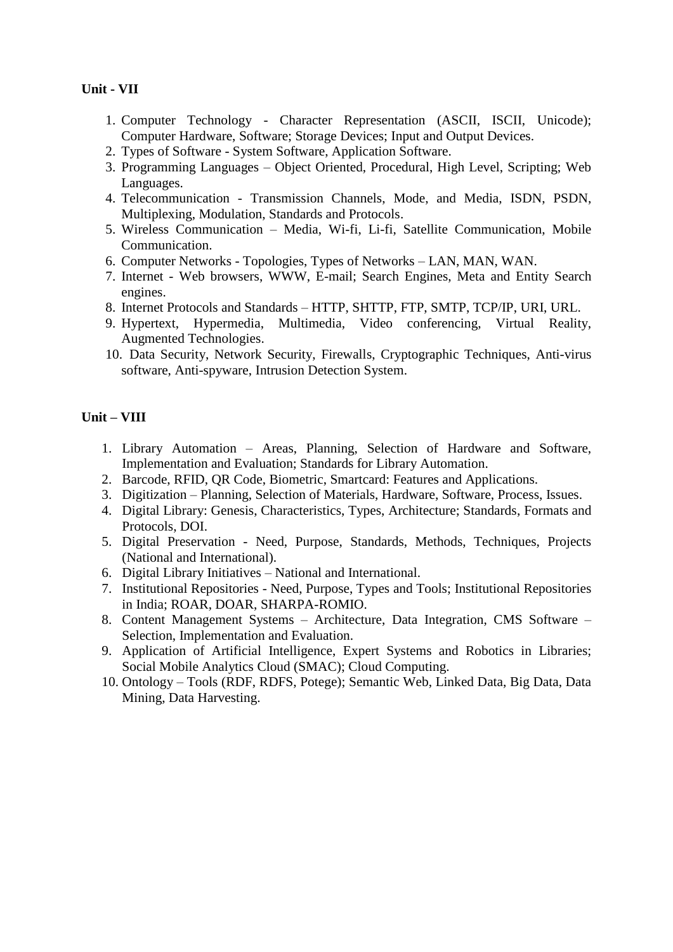## **Unit - VII**

- 1. Computer Technology Character Representation (ASCII, ISCII, Unicode); Computer Hardware, Software; Storage Devices; Input and Output Devices.
- 2. Types of Software System Software, Application Software.
- 3. Programming Languages Object Oriented, Procedural, High Level, Scripting; Web Languages.
- 4. Telecommunication Transmission Channels, Mode, and Media, ISDN, PSDN, Multiplexing, Modulation, Standards and Protocols.
- 5. Wireless Communication Media, Wi-fi, Li-fi, Satellite Communication, Mobile Communication.
- 6. Computer Networks Topologies, Types of Networks LAN, MAN, WAN.
- 7. Internet Web browsers, WWW, E-mail; Search Engines, Meta and Entity Search engines.
- 8. Internet Protocols and Standards HTTP, SHTTP, FTP, SMTP, TCP/IP, URI, URL.
- 9. Hypertext, Hypermedia, Multimedia, Video conferencing, Virtual Reality, Augmented Technologies.
- 10. Data Security, Network Security, Firewalls, Cryptographic Techniques, Anti-virus software, Anti-spyware, Intrusion Detection System.

## **Unit – VIII**

- 1. Library Automation Areas, Planning, Selection of Hardware and Software, Implementation and Evaluation; Standards for Library Automation.
- 2. Barcode, RFID, QR Code, Biometric, Smartcard: Features and Applications.
- 3. Digitization Planning, Selection of Materials, Hardware, Software, Process, Issues.
- 4. Digital Library: Genesis, Characteristics, Types, Architecture; Standards, Formats and Protocols, DOI.
- 5. Digital Preservation Need, Purpose, Standards, Methods, Techniques, Projects (National and International).
- 6. Digital Library Initiatives National and International.
- 7. Institutional Repositories Need, Purpose, Types and Tools; Institutional Repositories in India; ROAR, DOAR, SHARPA-ROMIO.
- 8. Content Management Systems Architecture, Data Integration, CMS Software Selection, Implementation and Evaluation.
- 9. Application of Artificial Intelligence, Expert Systems and Robotics in Libraries; Social Mobile Analytics Cloud (SMAC); Cloud Computing.
- 10. Ontology Tools (RDF, RDFS, Potege); Semantic Web, Linked Data, Big Data, Data Mining, Data Harvesting.